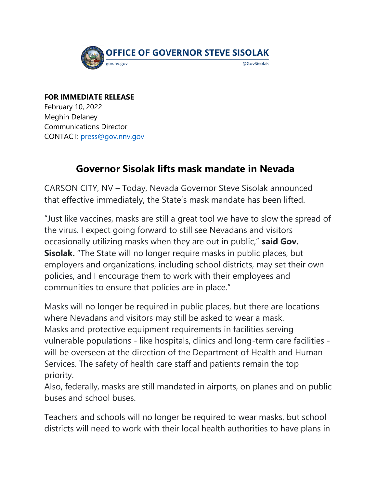

## **FOR IMMEDIATE RELEASE** February 10, 2022

Meghin Delaney Communications Director CONTACT: [press@gov.nnv.gov](mailto:press@gov.nv.gov) 

## **Governor Sisolak lifts mask mandate in Nevada**

CARSON CITY, NV – Today, Nevada Governor Steve Sisolak announced that effective immediately, the State's mask mandate has been lifted.

"Just like vaccines, masks are still a great tool we have to slow the spread of the virus. I expect going forward to still see Nevadans and visitors occasionally utilizing masks when they are out in public," **said Gov. Sisolak.** "The State will no longer require masks in public places, but employers and organizations, including school districts, may set their own policies, and I encourage them to work with their employees and communities to ensure that policies are in place."

Masks will no longer be required in public places, but there are locations where Nevadans and visitors may still be asked to wear a mask. Masks and protective equipment requirements in facilities serving vulnerable populations - like hospitals, clinics and long-term care facilities will be overseen at the direction of the Department of Health and Human Services. The safety of health care staff and patients remain the top priority.

Also, federally, masks are still mandated in airports, on planes and on public buses and school buses.

Teachers and schools will no longer be required to wear masks, but school districts will need to work with their local health authorities to have plans in